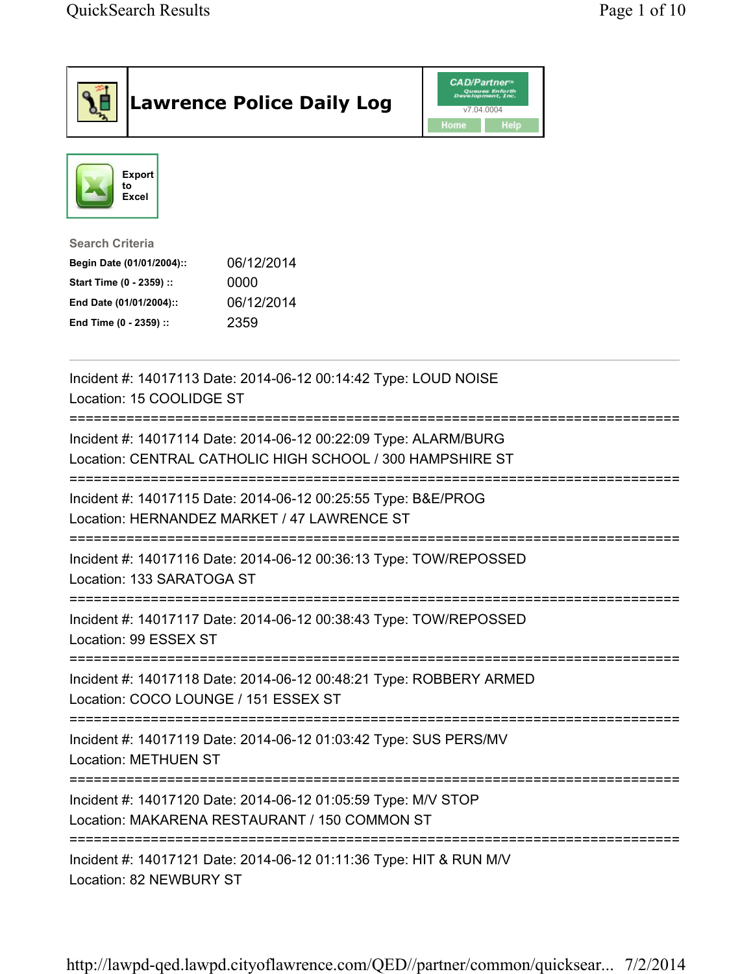|                                                                                                                                      | <b>Lawrence Police Daily Log</b>                                                                                             | <b>CAD/Partner</b> ®<br>Queues Enforth<br>Development, Inc.<br>v7.04.0004<br>Home<br>Help |  |
|--------------------------------------------------------------------------------------------------------------------------------------|------------------------------------------------------------------------------------------------------------------------------|-------------------------------------------------------------------------------------------|--|
| <b>Export</b><br>to<br><b>Excel</b>                                                                                                  |                                                                                                                              |                                                                                           |  |
| <b>Search Criteria</b><br>Begin Date (01/01/2004)::<br>Start Time (0 - 2359) ::<br>End Date (01/01/2004)::<br>End Time (0 - 2359) :: | 06/12/2014<br>0000<br>06/12/2014<br>2359                                                                                     |                                                                                           |  |
| Location: 15 COOLIDGE ST                                                                                                             | Incident #: 14017113 Date: 2014-06-12 00:14:42 Type: LOUD NOISE                                                              |                                                                                           |  |
|                                                                                                                                      | Incident #: 14017114 Date: 2014-06-12 00:22:09 Type: ALARM/BURG<br>Location: CENTRAL CATHOLIC HIGH SCHOOL / 300 HAMPSHIRE ST |                                                                                           |  |
|                                                                                                                                      | Incident #: 14017115 Date: 2014-06-12 00:25:55 Type: B&E/PROG<br>Location: HERNANDEZ MARKET / 47 LAWRENCE ST                 |                                                                                           |  |
| Location: 133 SARATOGA ST                                                                                                            | Incident #: 14017116 Date: 2014-06-12 00:36:13 Type: TOW/REPOSSED                                                            |                                                                                           |  |
| Location: 99 ESSEX ST                                                                                                                | Incident #: 14017117 Date: 2014-06-12 00:38:43 Type: TOW/REPOSSED                                                            |                                                                                           |  |
| Location: COCO LOUNGE / 151 ESSEX ST                                                                                                 | Incident #: 14017118 Date: 2014-06-12 00:48:21 Type: ROBBERY ARMED                                                           |                                                                                           |  |
| <b>Location: METHUEN ST</b>                                                                                                          | Incident #: 14017119 Date: 2014-06-12 01:03:42 Type: SUS PERS/MV                                                             |                                                                                           |  |
| Incident #: 14017120 Date: 2014-06-12 01:05:59 Type: M/V STOP<br>Location: MAKARENA RESTAURANT / 150 COMMON ST                       |                                                                                                                              |                                                                                           |  |
| Location: 82 NEWBURY ST                                                                                                              | Incident #: 14017121 Date: 2014-06-12 01:11:36 Type: HIT & RUN M/V                                                           |                                                                                           |  |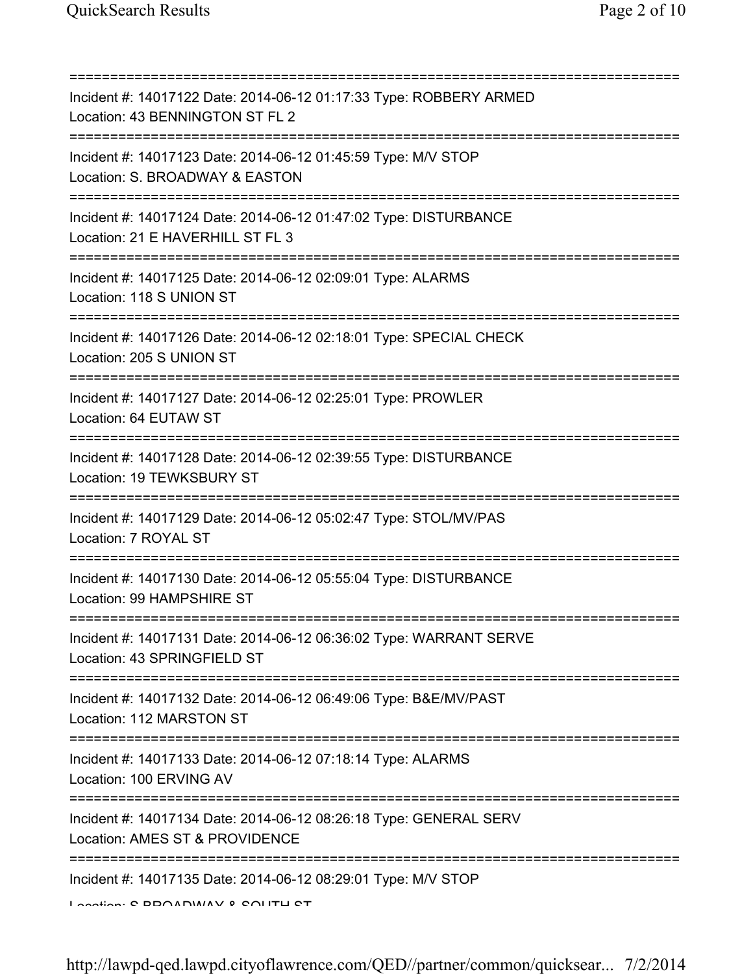| Incident #: 14017122 Date: 2014-06-12 01:17:33 Type: ROBBERY ARMED<br>Location: 43 BENNINGTON ST FL 2                                    |
|------------------------------------------------------------------------------------------------------------------------------------------|
| Incident #: 14017123 Date: 2014-06-12 01:45:59 Type: M/V STOP<br>Location: S. BROADWAY & EASTON<br>==========================            |
| Incident #: 14017124 Date: 2014-06-12 01:47:02 Type: DISTURBANCE<br>Location: 21 E HAVERHILL ST FL 3<br>================================ |
| Incident #: 14017125 Date: 2014-06-12 02:09:01 Type: ALARMS<br>Location: 118 S UNION ST                                                  |
| ========================<br>Incident #: 14017126 Date: 2014-06-12 02:18:01 Type: SPECIAL CHECK<br>Location: 205 S UNION ST               |
| Incident #: 14017127 Date: 2014-06-12 02:25:01 Type: PROWLER<br>Location: 64 EUTAW ST                                                    |
| Incident #: 14017128 Date: 2014-06-12 02:39:55 Type: DISTURBANCE<br>Location: 19 TEWKSBURY ST                                            |
| Incident #: 14017129 Date: 2014-06-12 05:02:47 Type: STOL/MV/PAS<br>Location: 7 ROYAL ST                                                 |
| Incident #: 14017130 Date: 2014-06-12 05:55:04 Type: DISTURBANCE<br>Location: 99 HAMPSHIRE ST                                            |
| Incident #: 14017131 Date: 2014-06-12 06:36:02 Type: WARRANT SERVE<br>Location: 43 SPRINGFIELD ST                                        |
| Incident #: 14017132 Date: 2014-06-12 06:49:06 Type: B&E/MV/PAST<br>Location: 112 MARSTON ST                                             |
| ======================================<br>Incident #: 14017133 Date: 2014-06-12 07:18:14 Type: ALARMS<br>Location: 100 ERVING AV         |
| Incident #: 14017134 Date: 2014-06-12 08:26:18 Type: GENERAL SERV<br>Location: AMES ST & PROVIDENCE                                      |
| Incident #: 14017135 Date: 2014-06-12 08:29:01 Type: M/V STOP<br>I AAAHAA: O DDAADIMAV 0 CALITLI OT                                      |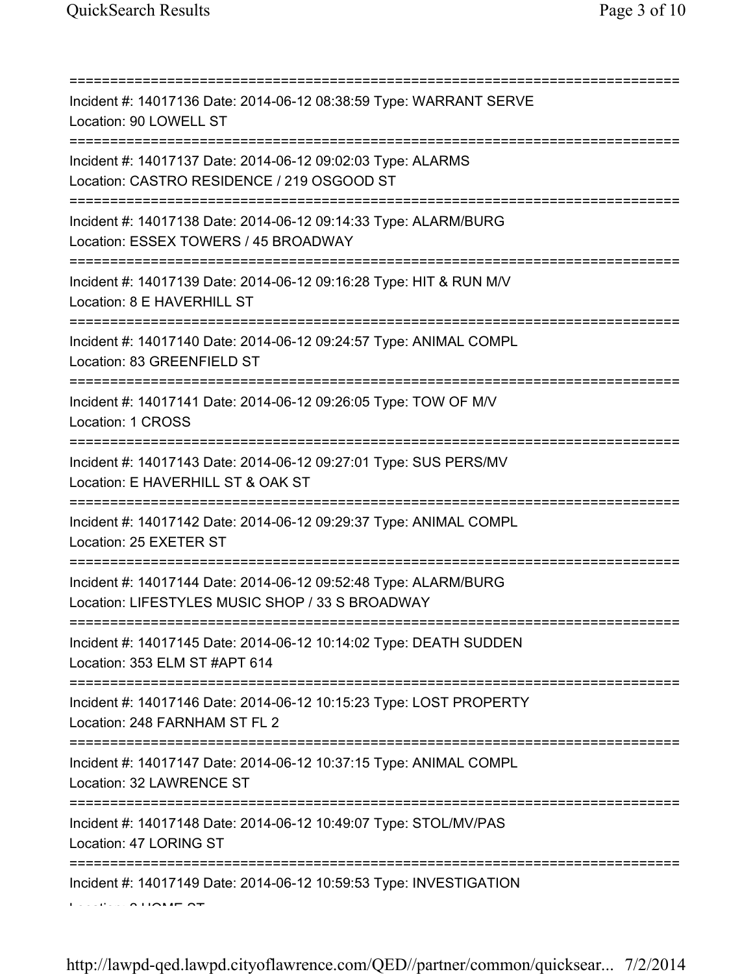| Incident #: 14017136 Date: 2014-06-12 08:38:59 Type: WARRANT SERVE<br>Location: 90 LOWELL ST                                                  |
|-----------------------------------------------------------------------------------------------------------------------------------------------|
| Incident #: 14017137 Date: 2014-06-12 09:02:03 Type: ALARMS<br>Location: CASTRO RESIDENCE / 219 OSGOOD ST                                     |
| Incident #: 14017138 Date: 2014-06-12 09:14:33 Type: ALARM/BURG<br>Location: ESSEX TOWERS / 45 BROADWAY<br>================================== |
| Incident #: 14017139 Date: 2014-06-12 09:16:28 Type: HIT & RUN M/V<br>Location: 8 E HAVERHILL ST                                              |
| Incident #: 14017140 Date: 2014-06-12 09:24:57 Type: ANIMAL COMPL<br>Location: 83 GREENFIELD ST                                               |
| Incident #: 14017141 Date: 2014-06-12 09:26:05 Type: TOW OF M/V<br>Location: 1 CROSS<br>===========                                           |
| Incident #: 14017143 Date: 2014-06-12 09:27:01 Type: SUS PERS/MV<br>Location: E HAVERHILL ST & OAK ST                                         |
| Incident #: 14017142 Date: 2014-06-12 09:29:37 Type: ANIMAL COMPL<br>Location: 25 EXETER ST                                                   |
| Incident #: 14017144 Date: 2014-06-12 09:52:48 Type: ALARM/BURG<br>Location: LIFESTYLES MUSIC SHOP / 33 S BROADWAY                            |
| Incident #: 14017145 Date: 2014-06-12 10:14:02 Type: DEATH SUDDEN<br>Location: 353 ELM ST #APT 614                                            |
| Incident #: 14017146 Date: 2014-06-12 10:15:23 Type: LOST PROPERTY<br>Location: 248 FARNHAM ST FL 2                                           |
| Incident #: 14017147 Date: 2014-06-12 10:37:15 Type: ANIMAL COMPL<br>Location: 32 LAWRENCE ST                                                 |
| Incident #: 14017148 Date: 2014-06-12 10:49:07 Type: STOL/MV/PAS<br>Location: 47 LORING ST                                                    |
| Incident #: 14017149 Date: 2014-06-12 10:59:53 Type: INVESTIGATION                                                                            |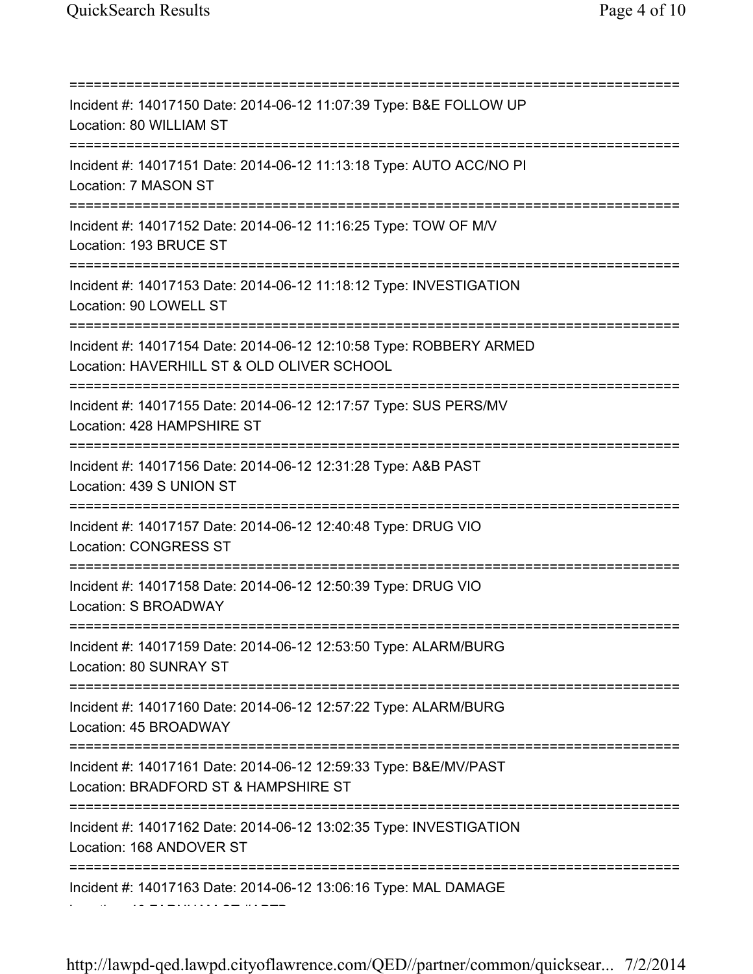=========================================================================== Incident #: 14017150 Date: 2014-06-12 11:07:39 Type: B&E FOLLOW UP Location: 80 WILLIAM ST =========================================================================== Incident #: 14017151 Date: 2014-06-12 11:13:18 Type: AUTO ACC/NO PI Location: 7 MASON ST =========================================================================== Incident #: 14017152 Date: 2014-06-12 11:16:25 Type: TOW OF M/V Location: 193 BRUCE ST =========================================================================== Incident #: 14017153 Date: 2014-06-12 11:18:12 Type: INVESTIGATION Location: 90 LOWELL ST =========================================================================== Incident #: 14017154 Date: 2014-06-12 12:10:58 Type: ROBBERY ARMED Location: HAVERHILL ST & OLD OLIVER SCHOOL =========================================================================== Incident #: 14017155 Date: 2014-06-12 12:17:57 Type: SUS PERS/MV Location: 428 HAMPSHIRE ST =========================================================================== Incident #: 14017156 Date: 2014-06-12 12:31:28 Type: A&B PAST Location: 439 S UNION ST =========================================================================== Incident #: 14017157 Date: 2014-06-12 12:40:48 Type: DRUG VIO Location: CONGRESS ST =========================================================================== Incident #: 14017158 Date: 2014-06-12 12:50:39 Type: DRUG VIO Location: S BROADWAY =========================================================================== Incident #: 14017159 Date: 2014-06-12 12:53:50 Type: ALARM/BURG Location: 80 SUNRAY ST =========================================================================== Incident #: 14017160 Date: 2014-06-12 12:57:22 Type: ALARM/BURG Location: 45 BROADWAY =========================================================================== Incident #: 14017161 Date: 2014-06-12 12:59:33 Type: B&E/MV/PAST Location: BRADFORD ST & HAMPSHIRE ST =========================================================================== Incident #: 14017162 Date: 2014-06-12 13:02:35 Type: INVESTIGATION Location: 168 ANDOVER ST =========================================================================== Incident #: 14017163 Date: 2014-06-12 13:06:16 Type: MAL DAMAGE

Location: 46 FARNHAM ST #APTB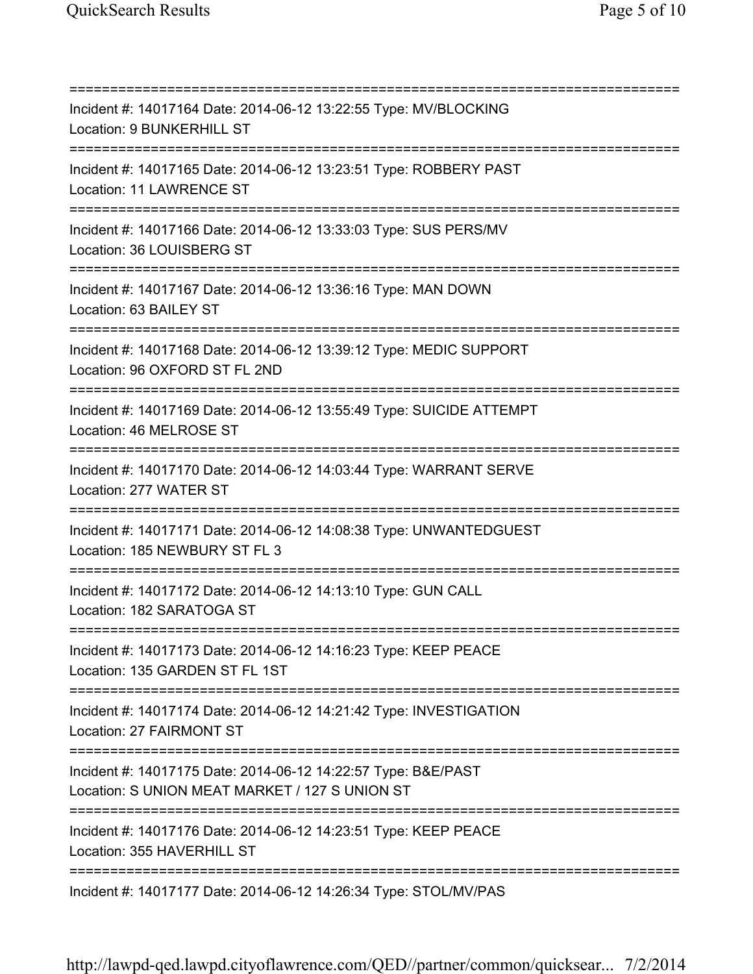=========================================================================== Incident #: 14017164 Date: 2014-06-12 13:22:55 Type: MV/BLOCKING Location: 9 BUNKERHILL ST =========================================================================== Incident #: 14017165 Date: 2014-06-12 13:23:51 Type: ROBBERY PAST Location: 11 LAWRENCE ST =========================================================================== Incident #: 14017166 Date: 2014-06-12 13:33:03 Type: SUS PERS/MV Location: 36 LOUISBERG ST =========================================================================== Incident #: 14017167 Date: 2014-06-12 13:36:16 Type: MAN DOWN Location: 63 BAILEY ST =========================================================================== Incident #: 14017168 Date: 2014-06-12 13:39:12 Type: MEDIC SUPPORT Location: 96 OXFORD ST FL 2ND =========================================================================== Incident #: 14017169 Date: 2014-06-12 13:55:49 Type: SUICIDE ATTEMPT Location: 46 MELROSE ST =========================================================================== Incident #: 14017170 Date: 2014-06-12 14:03:44 Type: WARRANT SERVE Location: 277 WATER ST =========================================================================== Incident #: 14017171 Date: 2014-06-12 14:08:38 Type: UNWANTEDGUEST Location: 185 NEWBURY ST FL 3 =========================================================================== Incident #: 14017172 Date: 2014-06-12 14:13:10 Type: GUN CALL Location: 182 SARATOGA ST =========================================================================== Incident #: 14017173 Date: 2014-06-12 14:16:23 Type: KEEP PEACE Location: 135 GARDEN ST FL 1ST =========================================================================== Incident #: 14017174 Date: 2014-06-12 14:21:42 Type: INVESTIGATION Location: 27 FAIRMONT ST =========================================================================== Incident #: 14017175 Date: 2014-06-12 14:22:57 Type: B&E/PAST Location: S UNION MEAT MARKET / 127 S UNION ST =========================================================================== Incident #: 14017176 Date: 2014-06-12 14:23:51 Type: KEEP PEACE Location: 355 HAVERHILL ST =========================================================================== Incident #: 14017177 Date: 2014-06-12 14:26:34 Type: STOL/MV/PAS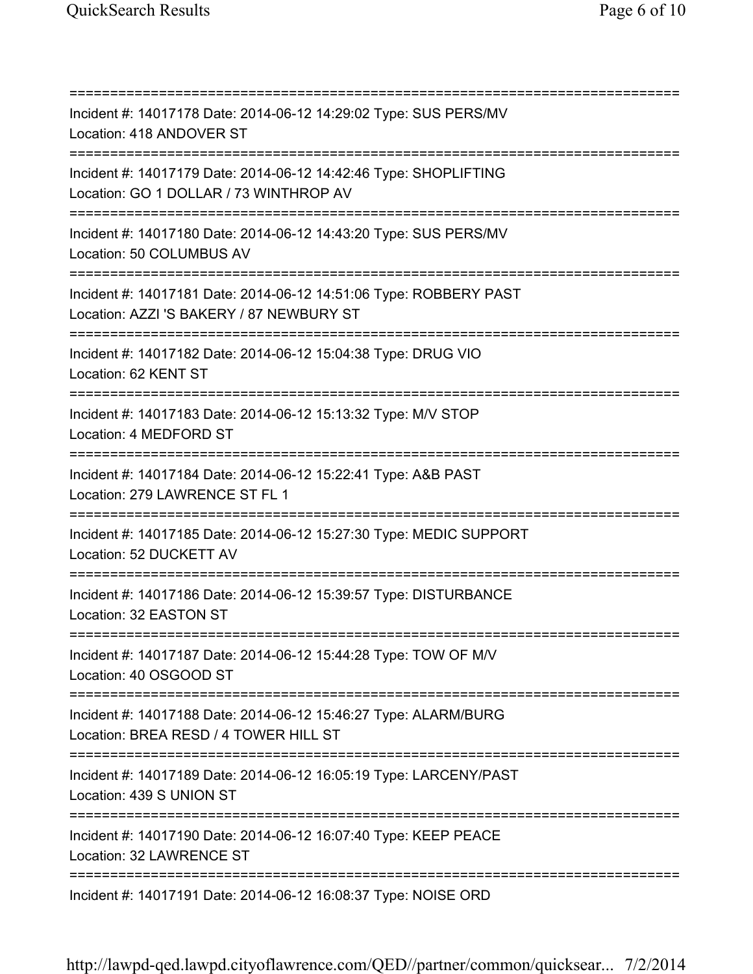=========================================================================== Incident #: 14017178 Date: 2014-06-12 14:29:02 Type: SUS PERS/MV Location: 418 ANDOVER ST =========================================================================== Incident #: 14017179 Date: 2014-06-12 14:42:46 Type: SHOPLIFTING Location: GO 1 DOLLAR / 73 WINTHROP AV =========================================================================== Incident #: 14017180 Date: 2014-06-12 14:43:20 Type: SUS PERS/MV Location: 50 COLUMBUS AV =========================================================================== Incident #: 14017181 Date: 2014-06-12 14:51:06 Type: ROBBERY PAST Location: AZZI 'S BAKERY / 87 NEWBURY ST =========================================================================== Incident #: 14017182 Date: 2014-06-12 15:04:38 Type: DRUG VIO Location: 62 KENT ST =========================================================================== Incident #: 14017183 Date: 2014-06-12 15:13:32 Type: M/V STOP Location: 4 MEDFORD ST =========================================================================== Incident #: 14017184 Date: 2014-06-12 15:22:41 Type: A&B PAST Location: 279 LAWRENCE ST FL 1 =========================================================================== Incident #: 14017185 Date: 2014-06-12 15:27:30 Type: MEDIC SUPPORT Location: 52 DUCKETT AV =========================================================================== Incident #: 14017186 Date: 2014-06-12 15:39:57 Type: DISTURBANCE Location: 32 EASTON ST =========================================================================== Incident #: 14017187 Date: 2014-06-12 15:44:28 Type: TOW OF M/V Location: 40 OSGOOD ST =========================================================================== Incident #: 14017188 Date: 2014-06-12 15:46:27 Type: ALARM/BURG Location: BREA RESD / 4 TOWER HILL ST =========================================================================== Incident #: 14017189 Date: 2014-06-12 16:05:19 Type: LARCENY/PAST Location: 439 S UNION ST =========================================================================== Incident #: 14017190 Date: 2014-06-12 16:07:40 Type: KEEP PEACE Location: 32 LAWRENCE ST =========================================================================== Incident #: 14017191 Date: 2014-06-12 16:08:37 Type: NOISE ORD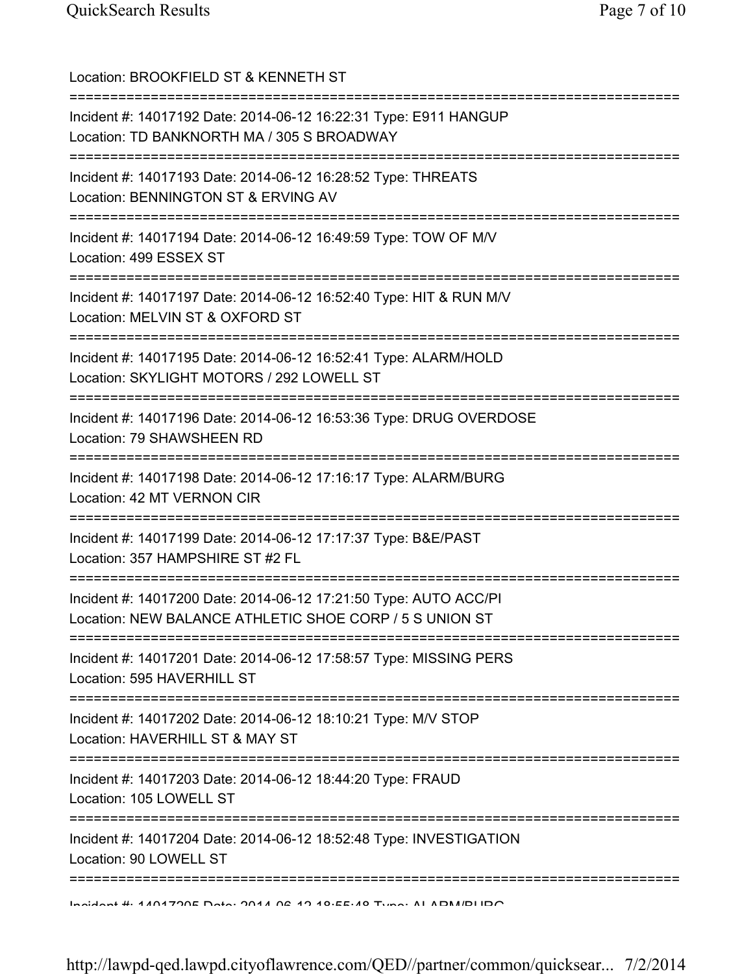| Location: BROOKFIELD ST & KENNETH ST                                                                                          |
|-------------------------------------------------------------------------------------------------------------------------------|
| Incident #: 14017192 Date: 2014-06-12 16:22:31 Type: E911 HANGUP<br>Location: TD BANKNORTH MA / 305 S BROADWAY                |
| Incident #: 14017193 Date: 2014-06-12 16:28:52 Type: THREATS<br>Location: BENNINGTON ST & ERVING AV                           |
| Incident #: 14017194 Date: 2014-06-12 16:49:59 Type: TOW OF M/V<br>Location: 499 ESSEX ST<br>================================ |
| Incident #: 14017197 Date: 2014-06-12 16:52:40 Type: HIT & RUN M/V<br>Location: MELVIN ST & OXFORD ST                         |
| Incident #: 14017195 Date: 2014-06-12 16:52:41 Type: ALARM/HOLD<br>Location: SKYLIGHT MOTORS / 292 LOWELL ST                  |
| Incident #: 14017196 Date: 2014-06-12 16:53:36 Type: DRUG OVERDOSE<br>Location: 79 SHAWSHEEN RD                               |
| Incident #: 14017198 Date: 2014-06-12 17:16:17 Type: ALARM/BURG<br>Location: 42 MT VERNON CIR                                 |
| Incident #: 14017199 Date: 2014-06-12 17:17:37 Type: B&E/PAST<br>Location: 357 HAMPSHIRE ST #2 FL                             |
| Incident #: 14017200 Date: 2014-06-12 17:21:50 Type: AUTO ACC/PI<br>Location: NEW BALANCE ATHLETIC SHOE CORP / 5 S UNION ST   |
| Incident #: 14017201 Date: 2014-06-12 17:58:57 Type: MISSING PERS<br>Location: 595 HAVERHILL ST                               |
| Incident #: 14017202 Date: 2014-06-12 18:10:21 Type: M/V STOP<br>Location: HAVERHILL ST & MAY ST                              |
| Incident #: 14017203 Date: 2014-06-12 18:44:20 Type: FRAUD<br>Location: 105 LOWELL ST                                         |
| :======================<br>Incident #: 14017204 Date: 2014-06-12 18:52:48 Type: INVESTIGATION<br>Location: 90 LOWELL ST       |
| <u>Indident # 4404700E Data: 0044 06 40.40 Terra Tune: ALADM/DLIDO</u>                                                        |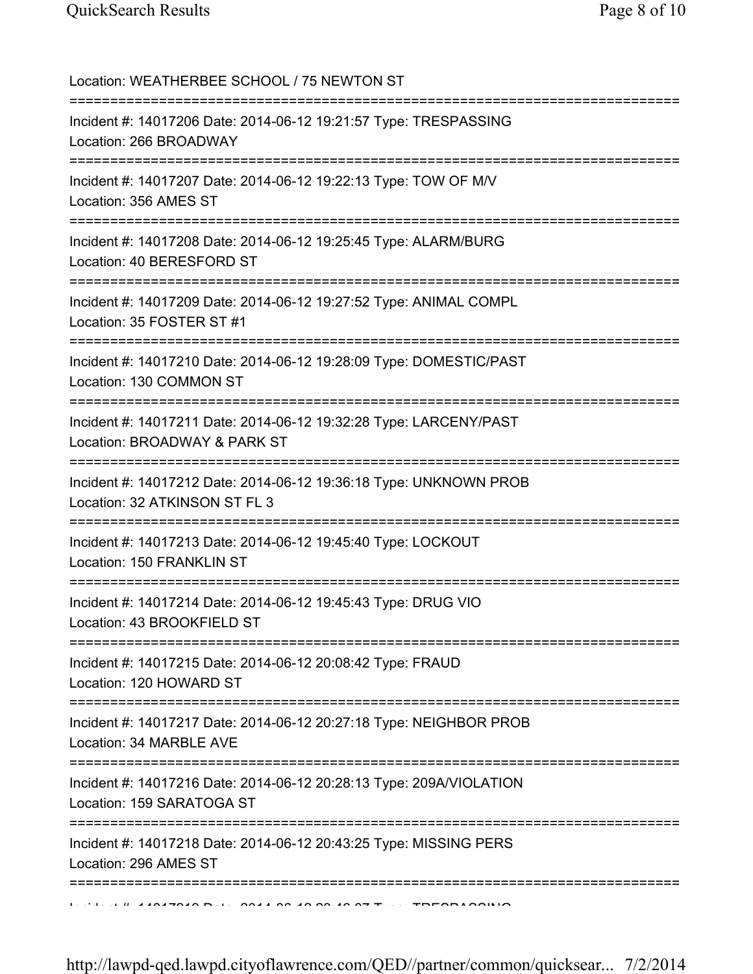| Location: WEATHERBEE SCHOOL / 75 NEWTON ST                                                                             |
|------------------------------------------------------------------------------------------------------------------------|
| Incident #: 14017206 Date: 2014-06-12 19:21:57 Type: TRESPASSING<br>Location: 266 BROADWAY                             |
| Incident #: 14017207 Date: 2014-06-12 19:22:13 Type: TOW OF M/V<br>Location: 356 AMES ST                               |
| ======================<br>Incident #: 14017208 Date: 2014-06-12 19:25:45 Type: ALARM/BURG<br>Location: 40 BERESFORD ST |
| Incident #: 14017209 Date: 2014-06-12 19:27:52 Type: ANIMAL COMPL<br>Location: 35 FOSTER ST #1                         |
| Incident #: 14017210 Date: 2014-06-12 19:28:09 Type: DOMESTIC/PAST<br>Location: 130 COMMON ST                          |
| Incident #: 14017211 Date: 2014-06-12 19:32:28 Type: LARCENY/PAST<br>Location: BROADWAY & PARK ST                      |
| Incident #: 14017212 Date: 2014-06-12 19:36:18 Type: UNKNOWN PROB<br>Location: 32 ATKINSON ST FL 3                     |
| Incident #: 14017213 Date: 2014-06-12 19:45:40 Type: LOCKOUT<br>Location: 150 FRANKLIN ST                              |
| Incident #: 14017214 Date: 2014-06-12 19:45:43 Type: DRUG VIO<br>Location: 43 BROOKFIELD ST                            |
| Incident #: 14017215 Date: 2014-06-12 20:08:42 Type: FRAUD<br>Location: 120 HOWARD ST                                  |
| Incident #: 14017217 Date: 2014-06-12 20:27:18 Type: NEIGHBOR PROB<br>Location: 34 MARBLE AVE                          |
| Incident #: 14017216 Date: 2014-06-12 20:28:13 Type: 209A/VIOLATION<br>Location: 159 SARATOGA ST                       |
| Incident #: 14017218 Date: 2014-06-12 20:43:25 Type: MISSING PERS<br>Location: 296 AMES ST                             |
| IN PRIME A ANATOAN DUE NOAT AN AN ON TA AT THE TOPODA ONLIG                                                            |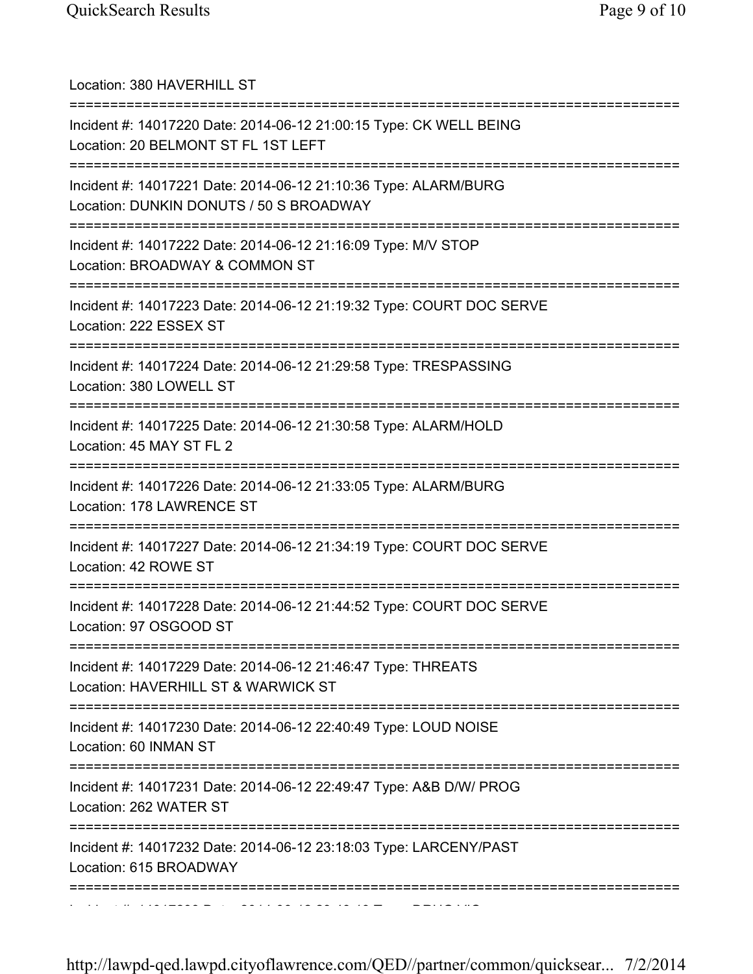| Location: 380 HAVERHILL ST<br>=====================================                                                                  |
|--------------------------------------------------------------------------------------------------------------------------------------|
| Incident #: 14017220 Date: 2014-06-12 21:00:15 Type: CK WELL BEING<br>Location: 20 BELMONT ST FL 1ST LEFT                            |
| Incident #: 14017221 Date: 2014-06-12 21:10:36 Type: ALARM/BURG<br>Location: DUNKIN DONUTS / 50 S BROADWAY                           |
| Incident #: 14017222 Date: 2014-06-12 21:16:09 Type: M/V STOP<br>Location: BROADWAY & COMMON ST                                      |
| Incident #: 14017223 Date: 2014-06-12 21:19:32 Type: COURT DOC SERVE<br>Location: 222 ESSEX ST                                       |
| =====================================<br>Incident #: 14017224 Date: 2014-06-12 21:29:58 Type: TRESPASSING<br>Location: 380 LOWELL ST |
| ====================================<br>Incident #: 14017225 Date: 2014-06-12 21:30:58 Type: ALARM/HOLD<br>Location: 45 MAY ST FL 2  |
| Incident #: 14017226 Date: 2014-06-12 21:33:05 Type: ALARM/BURG<br>Location: 178 LAWRENCE ST                                         |
| Incident #: 14017227 Date: 2014-06-12 21:34:19 Type: COURT DOC SERVE<br>Location: 42 ROWE ST                                         |
| Incident #: 14017228 Date: 2014-06-12 21:44:52 Type: COURT DOC SERVE<br>Location: 97 OSGOOD ST                                       |
| Incident #: 14017229 Date: 2014-06-12 21:46:47 Type: THREATS<br>Location: HAVERHILL ST & WARWICK ST                                  |
| Incident #: 14017230 Date: 2014-06-12 22:40:49 Type: LOUD NOISE<br>Location: 60 INMAN ST                                             |
| Incident #: 14017231 Date: 2014-06-12 22:49:47 Type: A&B D/W/ PROG<br>Location: 262 WATER ST                                         |
| Incident #: 14017232 Date: 2014-06-12 23:18:03 Type: LARCENY/PAST<br>Location: 615 BROADWAY                                          |
|                                                                                                                                      |

Incident #: 14017233 Date: 2014 06 12 23:43:19 Type: DRUG VIO